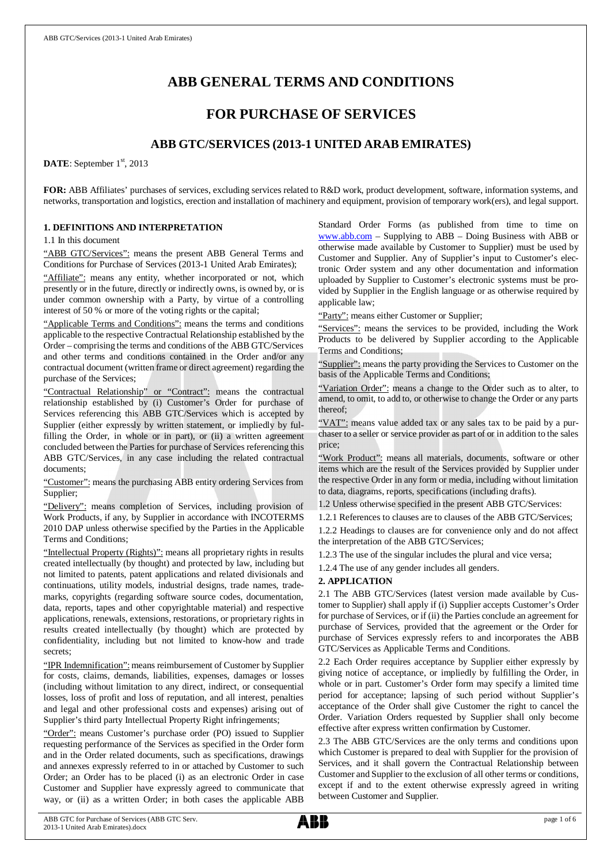# **ABB GENERAL TERMS AND CONDITIONS**

# **FOR PURCHASE OF SERVICES**

# **ABB GTC/SERVICES (2013-1 UNITED ARAB EMIRATES)**

DATE: September 1<sup>st</sup>, 2013

**FOR:** ABB Affiliates' purchases of services, excluding services related to R&D work, product development, software, information systems, and networks, transportation and logistics, erection and installation of machinery and equipment, provision of temporary work(ers), and legal support.

## **1. DEFINITIONS AND INTERPRETATION**

1.1 In this document

"ABB GTC/Services": means the present ABB General Terms and Conditions for Purchase of Services (2013-1 United Arab Emirates);

"Affiliate": means any entity, whether incorporated or not, which presently or in the future, directly or indirectly owns, is owned by, or is under common ownership with a Party, by virtue of a controlling interest of 50 % or more of the voting rights or the capital;

"Applicable Terms and Conditions": means the terms and conditions applicable to the respective Contractual Relationship established by the Order – comprising the terms and conditions of the ABB GTC/Services and other terms and conditions contained in the Order and/or any contractual document (written frame or direct agreement) regarding the purchase of the Services;

"Contractual Relationship" or "Contract": means the contractual relationship established by (i) Customer's Order for purchase of Services referencing this ABB GTC/Services which is accepted by Supplier (either expressly by written statement, or impliedly by fulfilling the Order, in whole or in part), or (ii) a written agreement concluded between the Parties for purchase of Services referencing this ABB GTC/Services, in any case including the related contractual documents;

"Customer": means the purchasing ABB entity ordering Services from Supplier;

"Delivery": means completion of Services, including provision of Work Products, if any, by Supplier in accordance with INCOTERMS 2010 DAP unless otherwise specified by the Parties in the Applicable Terms and Conditions;

"Intellectual Property (Rights)": means all proprietary rights in results created intellectually (by thought) and protected by law, including but not limited to patents, patent applications and related divisionals and continuations, utility models, industrial designs, trade names, trademarks, copyrights (regarding software source codes, documentation, data, reports, tapes and other copyrightable material) and respective applications, renewals, extensions, restorations, or proprietary rights in results created intellectually (by thought) which are protected by confidentiality, including but not limited to know-how and trade secrets;

"IPR Indemnification": means reimbursement of Customer by Supplier for costs, claims, demands, liabilities, expenses, damages or losses (including without limitation to any direct, indirect, or consequential losses, loss of profit and loss of reputation, and all interest, penalties and legal and other professional costs and expenses) arising out of Supplier's third party Intellectual Property Right infringements;

"Order": means Customer's purchase order (PO) issued to Supplier requesting performance of the Services as specified in the Order form and in the Order related documents, such as specifications, drawings and annexes expressly referred to in or attached by Customer to such Order; an Order has to be placed (i) as an electronic Order in case Customer and Supplier have expressly agreed to communicate that way, or (ii) as a written Order; in both cases the applicable ABB Standard Order Forms (as published from time to time on [www.abb.com](http://www.abb.com/) – Supplying to ABB – Doing Business with ABB or otherwise made available by Customer to Supplier) must be used by Customer and Supplier. Any of Supplier's input to Customer's electronic Order system and any other documentation and information uploaded by Supplier to Customer's electronic systems must be provided by Supplier in the English language or as otherwise required by applicable law;

"Party": means either Customer or Supplier;

"Services": means the services to be provided, including the Work Products to be delivered by Supplier according to the Applicable Terms and Conditions;

"Supplier": means the party providing the Services to Customer on the basis of the Applicable Terms and Conditions;

"Variation Order": means a change to the Order such as to alter, to amend, to omit, to add to, or otherwise to change the Order or any parts thereof;

"VAT": means value added tax or any sales tax to be paid by a purchaser to a seller or service provider as part of or in addition to the sales price;

"Work Product": means all materials, documents, software or other items which are the result of the Services provided by Supplier under the respective Order in any form or media, including without limitation to data, diagrams, reports, specifications (including drafts).

1.2 Unless otherwise specified in the present ABB GTC/Services:

1.2.1 References to clauses are to clauses of the ABB GTC/Services; 1.2.2 Headings to clauses are for convenience only and do not affect the interpretation of the ABB GTC/Services;

1.2.3 The use of the singular includes the plural and vice versa;

1.2.4 The use of any gender includes all genders.

## **2. APPLICATION**

2.1 The ABB GTC/Services (latest version made available by Customer to Supplier) shall apply if (i) Supplier accepts Customer's Order for purchase of Services, or if (ii) the Parties conclude an agreement for purchase of Services, provided that the agreement or the Order for purchase of Services expressly refers to and incorporates the ABB GTC/Services as Applicable Terms and Conditions.

2.2 Each Order requires acceptance by Supplier either expressly by giving notice of acceptance, or impliedly by fulfilling the Order, in whole or in part. Customer's Order form may specify a limited time period for acceptance; lapsing of such period without Supplier's acceptance of the Order shall give Customer the right to cancel the Order. Variation Orders requested by Supplier shall only become effective after express written confirmation by Customer.

2.3 The ABB GTC/Services are the only terms and conditions upon which Customer is prepared to deal with Supplier for the provision of Services, and it shall govern the Contractual Relationship between Customer and Supplier to the exclusion of all other terms or conditions, except if and to the extent otherwise expressly agreed in writing between Customer and Supplier.

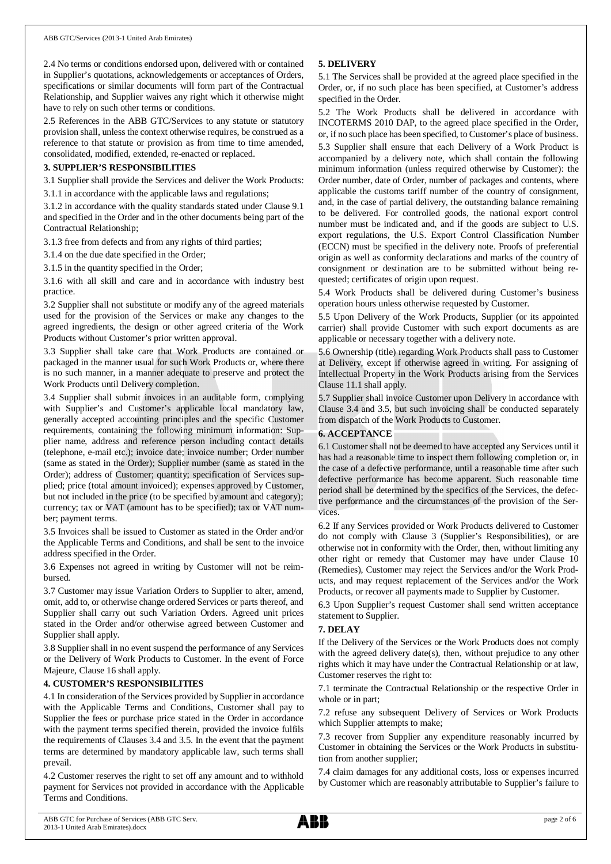2.4 No terms or conditions endorsed upon, delivered with or contained in Supplier's quotations, acknowledgements or acceptances of Orders, specifications or similar documents will form part of the Contractual Relationship, and Supplier waives any right which it otherwise might have to rely on such other terms or conditions.

2.5 References in the ABB GTC/Services to any statute or statutory provision shall, unless the context otherwise requires, be construed as a reference to that statute or provision as from time to time amended, consolidated, modified, extended, re-enacted or replaced.

# **3. SUPPLIER'S RESPONSIBILITIES**

3.1 Supplier shall provide the Services and deliver the Work Products:

3.1.1 in accordance with the applicable laws and regulations;

3.1.2 in accordance with the quality standards stated under Clause 9.1 and specified in the Order and in the other documents being part of the Contractual Relationship;

3.1.3 free from defects and from any rights of third parties;

3.1.4 on the due date specified in the Order;

3.1.5 in the quantity specified in the Order;

3.1.6 with all skill and care and in accordance with industry best practice.

3.2 Supplier shall not substitute or modify any of the agreed materials used for the provision of the Services or make any changes to the agreed ingredients, the design or other agreed criteria of the Work Products without Customer's prior written approval.

3.3 Supplier shall take care that Work Products are contained or packaged in the manner usual for such Work Products or, where there is no such manner, in a manner adequate to preserve and protect the Work Products until Delivery completion.

3.4 Supplier shall submit invoices in an auditable form, complying with Supplier's and Customer's applicable local mandatory law, generally accepted accounting principles and the specific Customer requirements, containing the following minimum information: Supplier name, address and reference person including contact details (telephone, e-mail etc.); invoice date; invoice number; Order number (same as stated in the Order); Supplier number (same as stated in the Order); address of Customer; quantity; specification of Services supplied; price (total amount invoiced); expenses approved by Customer, but not included in the price (to be specified by amount and category); currency; tax or VAT (amount has to be specified); tax or VAT number; payment terms.

3.5 Invoices shall be issued to Customer as stated in the Order and/or the Applicable Terms and Conditions, and shall be sent to the invoice address specified in the Order.

3.6 Expenses not agreed in writing by Customer will not be reimbursed.

3.7 Customer may issue Variation Orders to Supplier to alter, amend, omit, add to, or otherwise change ordered Services or parts thereof, and Supplier shall carry out such Variation Orders. Agreed unit prices stated in the Order and/or otherwise agreed between Customer and Supplier shall apply.

3.8 Supplier shall in no event suspend the performance of any Services or the Delivery of Work Products to Customer. In the event of Force Majeure, Clause 16 shall apply.

# **4. CUSTOMER'S RESPONSIBILITIES**

4.1 In consideration of the Services provided by Supplier in accordance with the Applicable Terms and Conditions, Customer shall pay to Supplier the fees or purchase price stated in the Order in accordance with the payment terms specified therein, provided the invoice fulfils the requirements of Clauses 3.4 and 3.5. In the event that the payment terms are determined by mandatory applicable law, such terms shall prevail.

4.2 Customer reserves the right to set off any amount and to withhold payment for Services not provided in accordance with the Applicable Terms and Conditions.

# **5. DELIVERY**

5.1 The Services shall be provided at the agreed place specified in the Order, or, if no such place has been specified, at Customer's address specified in the Order.

5.2 The Work Products shall be delivered in accordance with INCOTERMS 2010 DAP, to the agreed place specified in the Order, or, if no such place has been specified, to Customer's place of business. 5.3 Supplier shall ensure that each Delivery of a Work Product is accompanied by a delivery note, which shall contain the following minimum information (unless required otherwise by Customer): the Order number, date of Order, number of packages and contents, where applicable the customs tariff number of the country of consignment, and, in the case of partial delivery, the outstanding balance remaining to be delivered. For controlled goods, the national export control number must be indicated and, and if the goods are subject to U.S. export regulations, the U.S. Export Control Classification Number (ECCN) must be specified in the delivery note. Proofs of preferential origin as well as conformity declarations and marks of the country of consignment or destination are to be submitted without being requested; certificates of origin upon request.

5.4 Work Products shall be delivered during Customer's business operation hours unless otherwise requested by Customer.

5.5 Upon Delivery of the Work Products, Supplier (or its appointed carrier) shall provide Customer with such export documents as are applicable or necessary together with a delivery note.

5.6 Ownership (title) regarding Work Products shall pass to Customer at Delivery, except if otherwise agreed in writing. For assigning of Intellectual Property in the Work Products arising from the Services Clause 11.1 shall apply.

5.7 Supplier shall invoice Customer upon Delivery in accordance with Clause 3.4 and 3.5, but such invoicing shall be conducted separately from dispatch of the Work Products to Customer.

# **6. ACCEPTANCE**

6.1 Customer shall not be deemed to have accepted any Services until it has had a reasonable time to inspect them following completion or, in the case of a defective performance, until a reasonable time after such defective performance has become apparent. Such reasonable time period shall be determined by the specifics of the Services, the defective performance and the circumstances of the provision of the Services.

6.2 If any Services provided or Work Products delivered to Customer do not comply with Clause 3 (Supplier's Responsibilities), or are otherwise not in conformity with the Order, then, without limiting any other right or remedy that Customer may have under Clause 10 (Remedies), Customer may reject the Services and/or the Work Products, and may request replacement of the Services and/or the Work Products, or recover all payments made to Supplier by Customer.

6.3 Upon Supplier's request Customer shall send written acceptance statement to Supplier.

# **7. DELAY**

If the Delivery of the Services or the Work Products does not comply with the agreed delivery date(s), then, without prejudice to any other rights which it may have under the Contractual Relationship or at law, Customer reserves the right to:

7.1 terminate the Contractual Relationship or the respective Order in whole or in part;

7.2 refuse any subsequent Delivery of Services or Work Products which Supplier attempts to make;

7.3 recover from Supplier any expenditure reasonably incurred by Customer in obtaining the Services or the Work Products in substitution from another supplier;

7.4 claim damages for any additional costs, loss or expenses incurred by Customer which are reasonably attributable to Supplier's failure to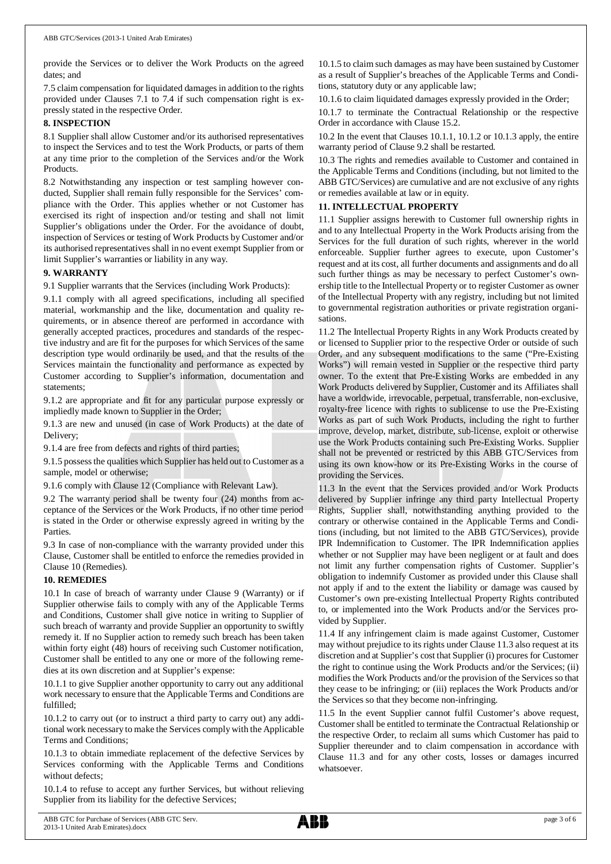provide the Services or to deliver the Work Products on the agreed dates; and

7.5 claim compensation for liquidated damages in addition to the rights provided under Clauses 7.1 to 7.4 if such compensation right is expressly stated in the respective Order.

# **8. INSPECTION**

8.1 Supplier shall allow Customer and/or its authorised representatives to inspect the Services and to test the Work Products, or parts of them at any time prior to the completion of the Services and/or the Work Products.

8.2 Notwithstanding any inspection or test sampling however conducted, Supplier shall remain fully responsible for the Services' compliance with the Order. This applies whether or not Customer has exercised its right of inspection and/or testing and shall not limit Supplier's obligations under the Order. For the avoidance of doubt, inspection of Services or testing of Work Products by Customer and/or its authorised representatives shall in no event exempt Supplier from or limit Supplier's warranties or liability in any way.

# **9. WARRANTY**

9.1 Supplier warrants that the Services (including Work Products):

9.1.1 comply with all agreed specifications, including all specified material, workmanship and the like, documentation and quality requirements, or in absence thereof are performed in accordance with generally accepted practices, procedures and standards of the respective industry and are fit for the purposes for which Services of the same description type would ordinarily be used, and that the results of the Services maintain the functionality and performance as expected by Customer according to Supplier's information, documentation and statements;

9.1.2 are appropriate and fit for any particular purpose expressly or impliedly made known to Supplier in the Order;

9.1.3 are new and unused (in case of Work Products) at the date of Delivery;

9.1.4 are free from defects and rights of third parties;

9.1.5 possess the qualities which Supplier has held out to Customer as a sample, model or otherwise;

9.1.6 comply with Clause 12 (Compliance with Relevant Law).

9.2 The warranty period shall be twenty four (24) months from acceptance of the Services or the Work Products, if no other time period is stated in the Order or otherwise expressly agreed in writing by the Parties.

9.3 In case of non-compliance with the warranty provided under this Clause, Customer shall be entitled to enforce the remedies provided in Clause 10 (Remedies).

## **10. REMEDIES**

10.1 In case of breach of warranty under Clause 9 (Warranty) or if Supplier otherwise fails to comply with any of the Applicable Terms and Conditions, Customer shall give notice in writing to Supplier of such breach of warranty and provide Supplier an opportunity to swiftly remedy it. If no Supplier action to remedy such breach has been taken within forty eight (48) hours of receiving such Customer notification, Customer shall be entitled to any one or more of the following remedies at its own discretion and at Supplier's expense:

10.1.1 to give Supplier another opportunity to carry out any additional work necessary to ensure that the Applicable Terms and Conditions are fulfilled;

10.1.2 to carry out (or to instruct a third party to carry out) any additional work necessary to make the Services comply with the Applicable Terms and Conditions;

10.1.3 to obtain immediate replacement of the defective Services by Services conforming with the Applicable Terms and Conditions without defects;

10.1.4 to refuse to accept any further Services, but without relieving Supplier from its liability for the defective Services;

10.1.5 to claim such damages as may have been sustained by Customer as a result of Supplier's breaches of the Applicable Terms and Conditions, statutory duty or any applicable law;

10.1.6 to claim liquidated damages expressly provided in the Order;

10.1.7 to terminate the Contractual Relationship or the respective Order in accordance with Clause 15.2.

10.2 In the event that Clauses 10.1.1, 10.1.2 or 10.1.3 apply, the entire warranty period of Clause 9.2 shall be restarted.

10.3 The rights and remedies available to Customer and contained in the Applicable Terms and Conditions (including, but not limited to the ABB GTC/Services) are cumulative and are not exclusive of any rights or remedies available at law or in equity.

# **11. INTELLECTUAL PROPERTY**

11.1 Supplier assigns herewith to Customer full ownership rights in and to any Intellectual Property in the Work Products arising from the Services for the full duration of such rights, wherever in the world enforceable. Supplier further agrees to execute, upon Customer's request and at its cost, all further documents and assignments and do all such further things as may be necessary to perfect Customer's ownership title to the Intellectual Property or to register Customer as owner of the Intellectual Property with any registry, including but not limited to governmental registration authorities or private registration organisations.

11.2 The Intellectual Property Rights in any Work Products created by or licensed to Supplier prior to the respective Order or outside of such Order, and any subsequent modifications to the same ("Pre-Existing Works") will remain vested in Supplier or the respective third party owner. To the extent that Pre-Existing Works are embedded in any Work Products delivered by Supplier, Customer and its Affiliates shall have a worldwide, irrevocable, perpetual, transferrable, non-exclusive, royalty-free licence with rights to sublicense to use the Pre-Existing Works as part of such Work Products, including the right to further improve, develop, market, distribute, sub-license, exploit or otherwise use the Work Products containing such Pre-Existing Works. Supplier shall not be prevented or restricted by this ABB GTC/Services from using its own know-how or its Pre-Existing Works in the course of providing the Services.

11.3 In the event that the Services provided and/or Work Products delivered by Supplier infringe any third party Intellectual Property Rights, Supplier shall, notwithstanding anything provided to the contrary or otherwise contained in the Applicable Terms and Conditions (including, but not limited to the ABB GTC/Services), provide IPR Indemnification to Customer. The IPR Indemnification applies whether or not Supplier may have been negligent or at fault and does not limit any further compensation rights of Customer. Supplier's obligation to indemnify Customer as provided under this Clause shall not apply if and to the extent the liability or damage was caused by Customer's own pre-existing Intellectual Property Rights contributed to, or implemented into the Work Products and/or the Services provided by Supplier.

11.4 If any infringement claim is made against Customer, Customer may without prejudice to its rights under Clause 11.3 also request at its discretion and at Supplier's cost that Supplier (i) procures for Customer the right to continue using the Work Products and/or the Services; (ii) modifies the Work Products and/or the provision of the Services so that they cease to be infringing; or (iii) replaces the Work Products and/or the Services so that they become non-infringing.

11.5 In the event Supplier cannot fulfil Customer's above request, Customer shall be entitled to terminate the Contractual Relationship or the respective Order, to reclaim all sums which Customer has paid to Supplier thereunder and to claim compensation in accordance with Clause 11.3 and for any other costs, losses or damages incurred whatsoever.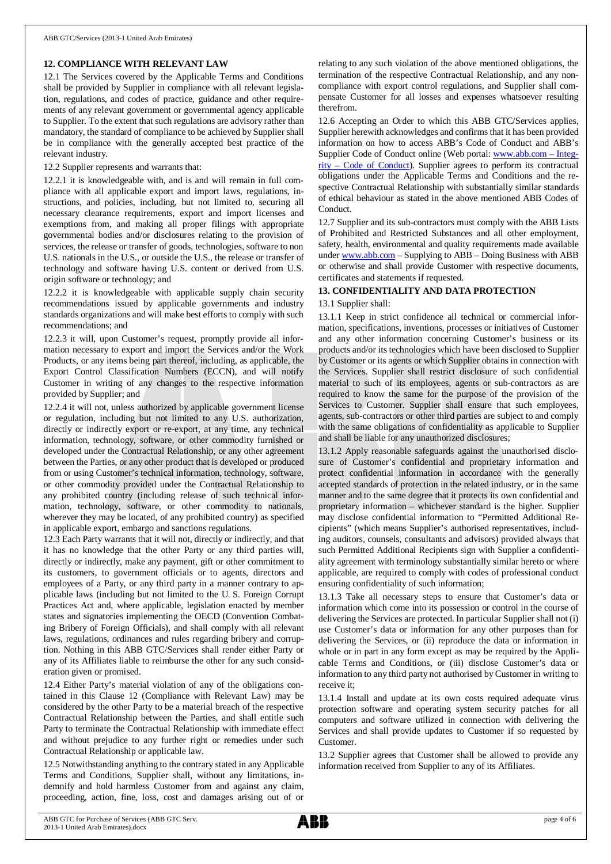# **12. COMPLIANCE WITH RELEVANT LAW**

12.1 The Services covered by the Applicable Terms and Conditions shall be provided by Supplier in compliance with all relevant legislation, regulations, and codes of practice, guidance and other requirements of any relevant government or governmental agency applicable to Supplier. To the extent that such regulations are advisory rather than mandatory, the standard of compliance to be achieved by Supplier shall be in compliance with the generally accepted best practice of the relevant industry.

12.2 Supplier represents and warrants that:

12.2.1 it is knowledgeable with, and is and will remain in full compliance with all applicable export and import laws, regulations, instructions, and policies, including, but not limited to, securing all necessary clearance requirements, export and import licenses and exemptions from, and making all proper filings with appropriate governmental bodies and/or disclosures relating to the provision of services, the release or transfer of goods, technologies, software to non U.S. nationals in the U.S., or outside the U.S., the release or transfer of technology and software having U.S. content or derived from U.S. origin software or technology; and

12.2.2 it is knowledgeable with applicable supply chain security recommendations issued by applicable governments and industry standards organizations and will make best efforts to comply with such recommendations; and

12.2.3 it will, upon Customer's request, promptly provide all information necessary to export and import the Services and/or the Work Products, or any items being part thereof, including, as applicable, the Export Control Classification Numbers (ECCN), and will notify Customer in writing of any changes to the respective information provided by Supplier; and

12.2.4 it will not, unless authorized by applicable government license or regulation, including but not limited to any U.S. authorization, directly or indirectly export or re-export, at any time, any technical information, technology, software, or other commodity furnished or developed under the Contractual Relationship, or any other agreement between the Parties, or any other product that is developed or produced from or using Customer's technical information, technology, software, or other commodity provided under the Contractual Relationship to any prohibited country (including release of such technical information, technology, software, or other commodity to nationals, wherever they may be located, of any prohibited country) as specified in applicable export, embargo and sanctions regulations.

12.3 Each Party warrants that it will not, directly or indirectly, and that it has no knowledge that the other Party or any third parties will, directly or indirectly, make any payment, gift or other commitment to its customers, to government officials or to agents, directors and employees of a Party, or any third party in a manner contrary to applicable laws (including but not limited to the U. S. Foreign Corrupt Practices Act and, where applicable, legislation enacted by member states and signatories implementing the OECD (Convention Combating Bribery of Foreign Officials), and shall comply with all relevant laws, regulations, ordinances and rules regarding bribery and corruption. Nothing in this ABB GTC/Services shall render either Party or any of its Affiliates liable to reimburse the other for any such consideration given or promised.

12.4 Either Party's material violation of any of the obligations contained in this Clause 12 (Compliance with Relevant Law) may be considered by the other Party to be a material breach of the respective Contractual Relationship between the Parties, and shall entitle such Party to terminate the Contractual Relationship with immediate effect and without prejudice to any further right or remedies under such Contractual Relationship or applicable law.

12.5 Notwithstanding anything to the contrary stated in any Applicable Terms and Conditions, Supplier shall, without any limitations, indemnify and hold harmless Customer from and against any claim, proceeding, action, fine, loss, cost and damages arising out of or

relating to any such violation of the above mentioned obligations, the termination of the respective Contractual Relationship, and any noncompliance with export control regulations, and Supplier shall compensate Customer for all losses and expenses whatsoever resulting therefrom.

12.6 Accepting an Order to which this ABB GTC/Services applies, Supplier herewith acknowledges and confirms that it has been provided information on how to access ABB's Code of Conduct and ABB's Supplier Code of Conduct online (Web portal: [www.abb.com](http://www.abb.com/) – Integrity – Code of Conduct). Supplier agrees to perform its contractual obligations under the Applicable Terms and Conditions and the respective Contractual Relationship with substantially similar standards of ethical behaviour as stated in the above mentioned ABB Codes of Conduct.

12.7 Supplier and its sub-contractors must comply with the ABB Lists of Prohibited and Restricted Substances and all other employment, safety, health, environmental and quality requirements made available under [www.abb.com](http://www.abb.com/) – Supplying to ABB – Doing Business with ABB or otherwise and shall provide Customer with respective documents, certificates and statements if requested.

# **13. CONFIDENTIALITY AND DATA PROTECTION**

# 13.1 Supplier shall:

13.1.1 Keep in strict confidence all technical or commercial information, specifications, inventions, processes or initiatives of Customer and any other information concerning Customer's business or its products and/or its technologies which have been disclosed to Supplier by Customer or its agents or which Supplier obtains in connection with the Services. Supplier shall restrict disclosure of such confidential material to such of its employees, agents or sub-contractors as are required to know the same for the purpose of the provision of the Services to Customer. Supplier shall ensure that such employees, agents, sub-contractors or other third parties are subject to and comply with the same obligations of confidentiality as applicable to Supplier and shall be liable for any unauthorized disclosures;

13.1.2 Apply reasonable safeguards against the unauthorised disclosure of Customer's confidential and proprietary information and protect confidential information in accordance with the generally accepted standards of protection in the related industry, or in the same manner and to the same degree that it protects its own confidential and proprietary information – whichever standard is the higher. Supplier may disclose confidential information to "Permitted Additional Recipients" (which means Supplier's authorised representatives, including auditors, counsels, consultants and advisors) provided always that such Permitted Additional Recipients sign with Supplier a confidentiality agreement with terminology substantially similar hereto or where applicable, are required to comply with codes of professional conduct ensuring confidentiality of such information;

13.1.3 Take all necessary steps to ensure that Customer's data or information which come into its possession or control in the course of delivering the Services are protected. In particular Supplier shall not (i) use Customer's data or information for any other purposes than for delivering the Services, or (ii) reproduce the data or information in whole or in part in any form except as may be required by the Applicable Terms and Conditions, or (iii) disclose Customer's data or information to any third party not authorised by Customer in writing to receive it;

13.1.4 Install and update at its own costs required adequate virus protection software and operating system security patches for all computers and software utilized in connection with delivering the Services and shall provide updates to Customer if so requested by Customer.

13.2 Supplier agrees that Customer shall be allowed to provide any information received from Supplier to any of its Affiliates.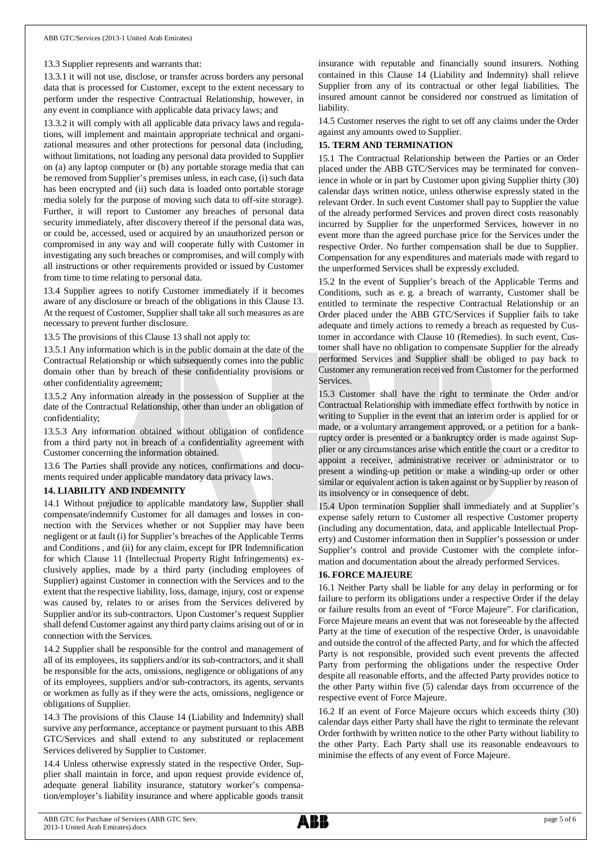#### 13.3 Supplier represents and warrants that:

13.3.1 it will not use, disclose, or transfer across borders any personal data that is processed for Customer, except to the extent necessary to perform under the respective Contractual Relationship, however, in any event in compliance with applicable data privacy laws; and

13.3.2 it will comply with all applicable data privacy laws and regulations, will implement and maintain appropriate technical and organizational measures and other protections for personal data (including, without limitations, not loading any personal data provided to Supplier on (a) any laptop computer or (b) any portable storage media that can be removed from Supplier's premises unless, in each case, (i) such data has been encrypted and (ii) such data is loaded onto portable storage media solely for the purpose of moving such data to off-site storage). Further, it will report to Customer any breaches of personal data security immediately, after discovery thereof if the personal data was, or could be, accessed, used or acquired by an unauthorized person or compromised in any way and will cooperate fully with Customer in investigating any such breaches or compromises, and will comply with all instructions or other requirements provided or issued by Customer from time to time relating to personal data.

13.4 Supplier agrees to notify Customer immediately if it becomes aware of any disclosure or breach of the obligations in this Clause 13. At the request of Customer, Supplier shall take all such measures as are necessary to prevent further disclosure.

13.5 The provisions of this Clause 13 shall not apply to:

13.5.1 Any information which is in the public domain at the date of the Contractual Relationship or which subsequently comes into the public domain other than by breach of these confidentiality provisions or other confidentiality agreement;

13.5.2 Any information already in the possession of Supplier at the date of the Contractual Relationship, other than under an obligation of confidentiality;

13.5.3 Any information obtained without obligation of confidence from a third party not in breach of a confidentiality agreement with Customer concerning the information obtained.

13.6 The Parties shall provide any notices, confirmations and documents required under applicable mandatory data privacy laws.

#### **14. LIABILITY AND INDEMNITY**

14.1 Without prejudice to applicable mandatory law, Supplier shall compensate/indemnify Customer for all damages and losses in connection with the Services whether or not Supplier may have been negligent or at fault (i) for Supplier's breaches of the Applicable Terms and Conditions , and (ii) for any claim, except for IPR Indemnification for which Clause 11 (Intellectual Property Right Infringements) exclusively applies, made by a third party (including employees of Supplier) against Customer in connection with the Services and to the extent that the respective liability, loss, damage, injury, cost or expense was caused by, relates to or arises from the Services delivered by Supplier and/or its sub-contractors. Upon Customer's request Supplier shall defend Customer against any third party claims arising out of or in connection with the Services.

14.2 Supplier shall be responsible for the control and management of all of its employees, its suppliers and/or its sub-contractors, and it shall be responsible for the acts, omissions, negligence or obligations of any of its employees, suppliers and/or sub-contractors, its agents, servants or workmen as fully as if they were the acts, omissions, negligence or obligations of Supplier.

14.3 The provisions of this Clause 14 (Liability and Indemnity) shall survive any performance, acceptance or payment pursuant to this ABB GTC/Services and shall extend to any substituted or replacement Services delivered by Supplier to Customer.

14.4 Unless otherwise expressly stated in the respective Order, Supplier shall maintain in force, and upon request provide evidence of, adequate general liability insurance, statutory worker's compensation/employer's liability insurance and where applicable goods transit insurance with reputable and financially sound insurers. Nothing contained in this Clause 14 (Liability and Indemnity) shall relieve Supplier from any of its contractual or other legal liabilities. The insured amount cannot be considered nor construed as limitation of liability.

14.5 Customer reserves the right to set off any claims under the Order against any amounts owed to Supplier.

# **15. TERM AND TERMINATION**

15.1 The Contractual Relationship between the Parties or an Order placed under the ABB GTC/Services may be terminated for convenience in whole or in part by Customer upon giving Supplier thirty (30) calendar days written notice, unless otherwise expressly stated in the relevant Order. In such event Customer shall pay to Supplier the value of the already performed Services and proven direct costs reasonably incurred by Supplier for the unperformed Services, however in no event more than the agreed purchase price for the Services under the respective Order. No further compensation shall be due to Supplier. Compensation for any expenditures and materials made with regard to the unperformed Services shall be expressly excluded.

15.2 In the event of Supplier's breach of the Applicable Terms and Conditions, such as e. g. a breach of warranty, Customer shall be entitled to terminate the respective Contractual Relationship or an Order placed under the ABB GTC/Services if Supplier fails to take adequate and timely actions to remedy a breach as requested by Customer in accordance with Clause 10 (Remedies). In such event, Customer shall have no obligation to compensate Supplier for the already performed Services and Supplier shall be obliged to pay back to Customer any remuneration received from Customer for the performed **Services** 

15.3 Customer shall have the right to terminate the Order and/or Contractual Relationship with immediate effect forthwith by notice in writing to Supplier in the event that an interim order is applied for or made, or a voluntary arrangement approved, or a petition for a bankruptcy order is presented or a bankruptcy order is made against Supplier or any circumstances arise which entitle the court or a creditor to appoint a receiver, administrative receiver or administrator or to present a winding-up petition or make a winding-up order or other similar or equivalent action is taken against or by Supplier by reason of its insolvency or in consequence of debt.

15.4 Upon termination Supplier shall immediately and at Supplier's expense safely return to Customer all respective Customer property (including any documentation, data, and applicable Intellectual Property) and Customer information then in Supplier's possession or under Supplier's control and provide Customer with the complete information and documentation about the already performed Services.

#### **16. FORCE MAJEURE**

16.1 Neither Party shall be liable for any delay in performing or for failure to perform its obligations under a respective Order if the delay or failure results from an event of "Force Majeure". For clarification, Force Majeure means an event that was not foreseeable by the affected Party at the time of execution of the respective Order, is unavoidable and outside the control of the affected Party, and for which the affected Party is not responsible, provided such event prevents the affected Party from performing the obligations under the respective Order despite all reasonable efforts, and the affected Party provides notice to the other Party within five (5) calendar days from occurrence of the respective event of Force Majeure.

16.2 If an event of Force Majeure occurs which exceeds thirty (30) calendar days either Party shall have the right to terminate the relevant Order forthwith by written notice to the other Party without liability to the other Party. Each Party shall use its reasonable endeavours to minimise the effects of any event of Force Majeure.